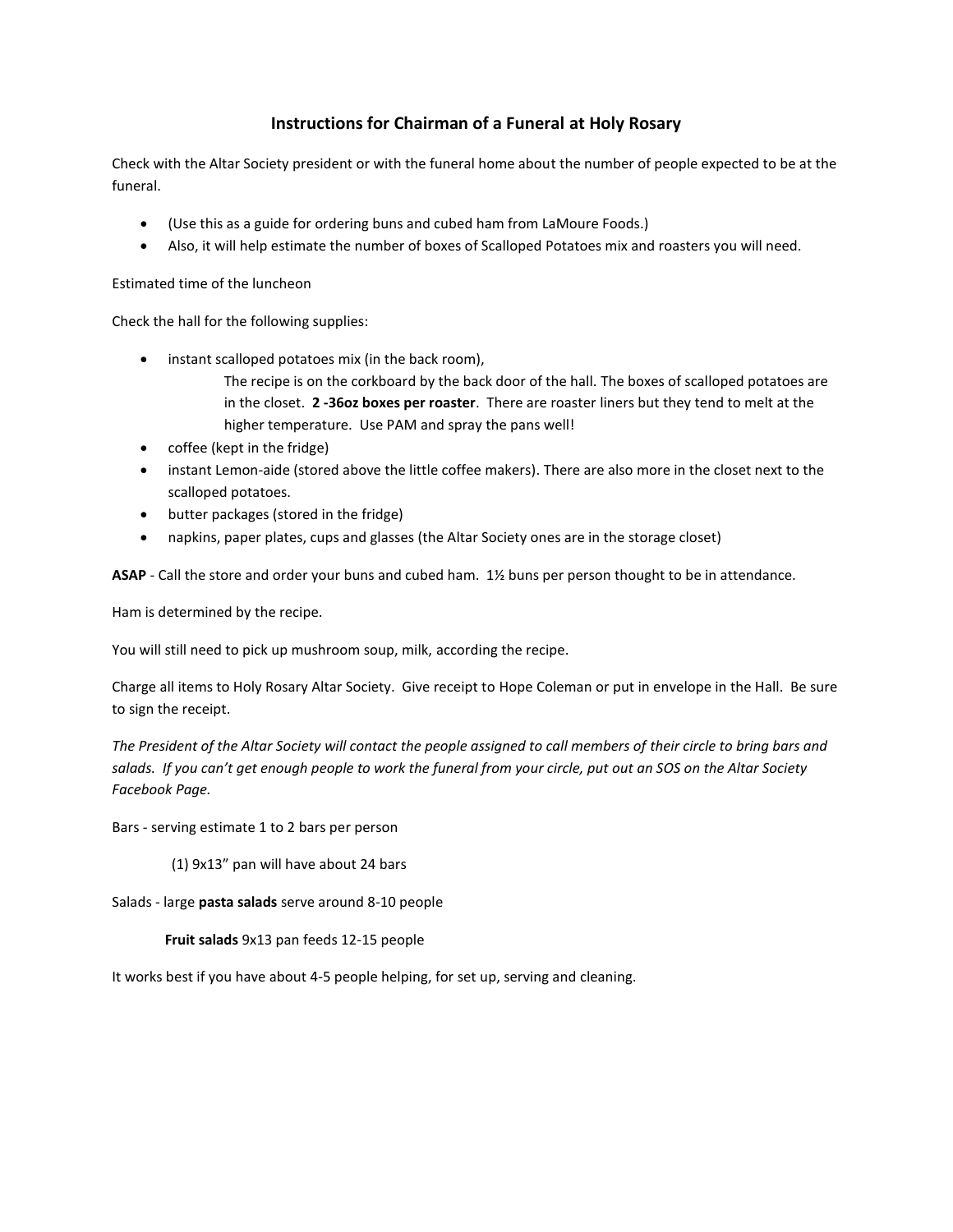## **Instructions for Chairman of a Funeral at Holy Rosary**

Check with the Altar Society president or with the funeral home about the number of people expected to be at the funeral.

- (Use this as a guide for ordering buns and cubed ham from LaMoure Foods.)
- Also, it will help estimate the number of boxes of Scalloped Potatoes mix and roasters you will need.

Estimated time of the luncheon

Check the hall for the following supplies:

- instant scalloped potatoes mix (in the back room),
	- The recipe is on the corkboard by the back door of the hall. The boxes of scalloped potatoes are in the closet. **2 -36oz boxes per roaster**. There are roaster liners but they tend to melt at the higher temperature. Use PAM and spray the pans well!
- coffee (kept in the fridge)
- instant Lemon-aide (stored above the little coffee makers). There are also more in the closet next to the scalloped potatoes.
- butter packages (stored in the fridge)
- napkins, paper plates, cups and glasses (the Altar Society ones are in the storage closet)

**ASAP** - Call the store and order your buns and cubed ham. 1½ buns per person thought to be in attendance.

Ham is determined by the recipe.

You will still need to pick up mushroom soup, milk, according the recipe.

Charge all items to Holy Rosary Altar Society. Give receipt to Hope Coleman or put in envelope in the Hall. Be sure to sign the receipt.

*The President of the Altar Society will contact the people assigned to call members of their circle to bring bars and salads. If you can't get enough people to work the funeral from your circle, put out an SOS on the Altar Society Facebook Page.* 

Bars - serving estimate 1 to 2 bars per person

(1) 9x13" pan will have about 24 bars

Salads - large **pasta salads** serve around 8-10 people

### **Fruit salads** 9x13 pan feeds 12-15 people

It works best if you have about 4-5 people helping, for set up, serving and cleaning.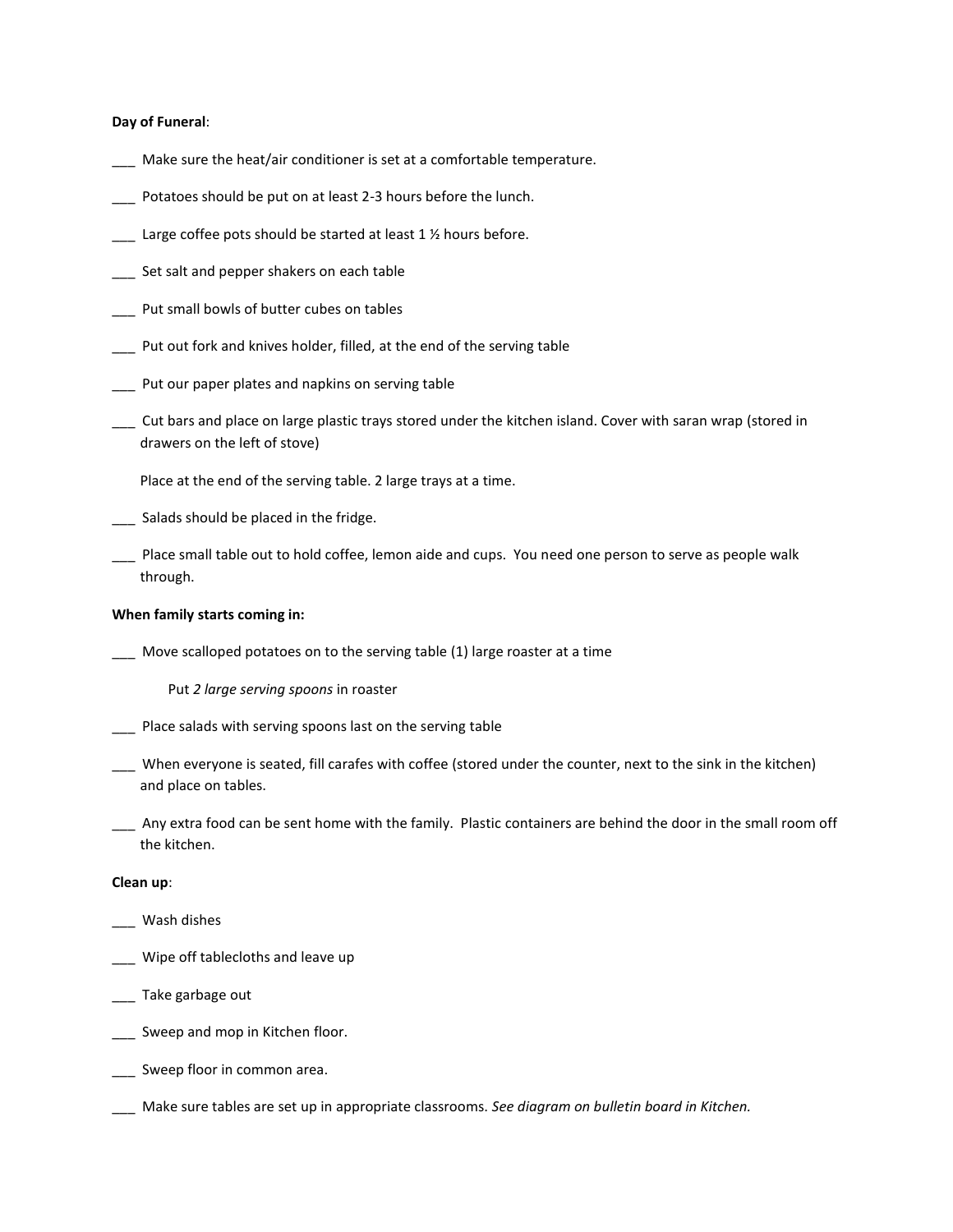#### **Day of Funeral**:

- \_\_\_ Make sure the heat/air conditioner is set at a comfortable temperature.
- \_\_\_ Potatoes should be put on at least 2-3 hours before the lunch.
- $\frac{1}{2}$  Large coffee pots should be started at least 1 % hours before.
- \_\_\_ Set salt and pepper shakers on each table
- \_\_\_ Put small bowls of butter cubes on tables
- \_\_\_ Put out fork and knives holder, filled, at the end of the serving table
- \_\_\_ Put our paper plates and napkins on serving table
- \_\_\_ Cut bars and place on large plastic trays stored under the kitchen island. Cover with saran wrap (stored in drawers on the left of stove)

Place at the end of the serving table. 2 large trays at a time.

- \_\_\_ Salads should be placed in the fridge.
- \_\_\_ Place small table out to hold coffee, lemon aide and cups. You need one person to serve as people walk through.

#### **When family starts coming in:**

\_\_\_ Move scalloped potatoes on to the serving table (1) large roaster at a time

Put *2 large serving spoons* in roaster

- \_\_\_ Place salads with serving spoons last on the serving table
- \_\_\_ When everyone is seated, fill carafes with coffee (stored under the counter, next to the sink in the kitchen) and place on tables.
- \_\_\_ Any extra food can be sent home with the family. Plastic containers are behind the door in the small room off the kitchen.

#### **Clean up**:

- \_\_\_ Wash dishes
- \_\_\_ Wipe off tablecloths and leave up
- \_\_\_ Take garbage out
- \_\_\_\_ Sweep and mop in Kitchen floor.
- \_\_\_ Sweep floor in common area.
- \_\_\_ Make sure tables are set up in appropriate classrooms. *See diagram on bulletin board in Kitchen.*